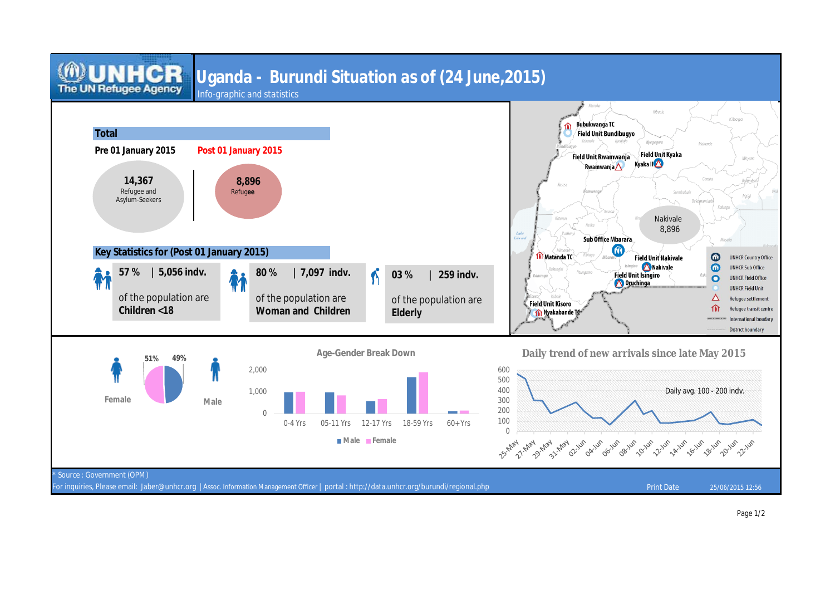